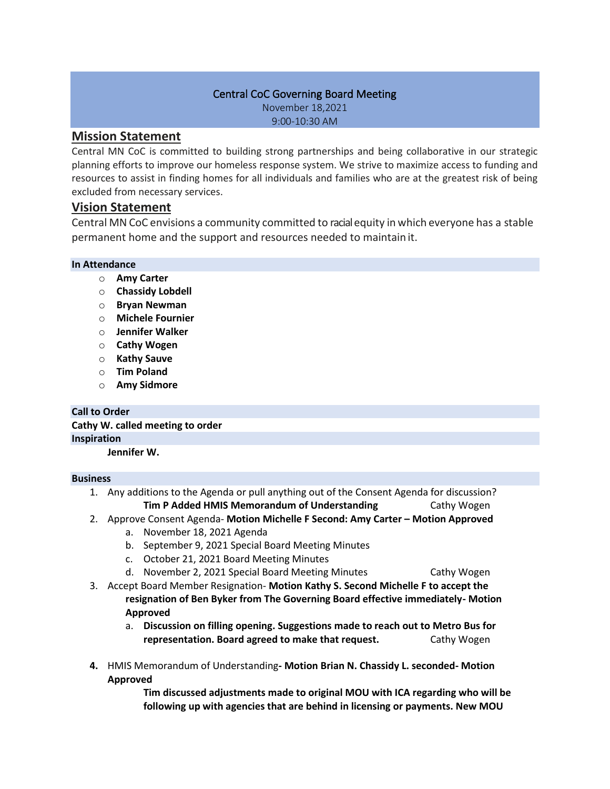#### Central CoC Governing Board Meeting

November 18,2021 9:00-10:30 AM

# **Mission Statement**

Central MN CoC is committed to building strong partnerships and being collaborative in our strategic planning efforts to improve our homeless response system. We strive to maximize access to funding and resources to assist in finding homes for all individuals and families who are at the greatest risk of being excluded from necessary services.

# **Vision Statement**

Central MN CoC envisions a community committed to racialequity in which everyone has a stable permanent home and the support and resources needed to maintain it.

### **In Attendance**

- o **Amy Carter**
- o **Chassidy Lobdell**
- o **Bryan Newman**
- o **Michele Fournier**
- o **Jennifer Walker**
- o **Cathy Wogen**
- o **Kathy Sauve**
- o **Tim Poland**
- o **Amy Sidmore**

## **Call to Order**

**Cathy W. called meeting to order Inspiration Jennifer W.** 

#### **Business**

1. Any additions to the Agenda or pull anything out of the Consent Agenda for discussion?

**Tim P Added HMIS Memorandum of Understanding Cathy Wogen** 

- 2. Approve Consent Agenda- **Motion Michelle F Second: Amy Carter – Motion Approved**
	- a. November 18, 2021 Agenda
	- b. September 9, 2021 Special Board Meeting Minutes
	- c. October 21, 2021 Board Meeting Minutes
	- d. November 2, 2021 Special Board Meeting Minutes Cathy Wogen
- 3. Accept Board Member Resignation- **Motion Kathy S. Second Michelle F to accept the resignation of Ben Byker from The Governing Board effective immediately- Motion Approved**
	- a. **Discussion on filling opening. Suggestions made to reach out to Metro Bus for representation. Board agreed to make that request.** Cathy Wogen
- **4.** HMIS Memorandum of Understanding**- Motion Brian N. Chassidy L. seconded- Motion Approved**

**Tim discussed adjustments made to original MOU with ICA regarding who will be following up with agencies that are behind in licensing or payments. New MOU**